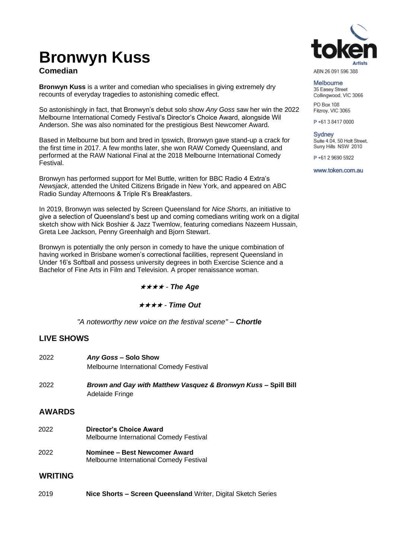# **Bronwyn Kuss**

## **Comedian**

**Bronwyn Kuss** is a writer and comedian who specialises in giving extremely dry recounts of everyday tragedies to astonishing comedic effect.

So astonishingly in fact, that Bronwyn's debut solo show *Any Goss* saw her win the 2022 Melbourne International Comedy Festival's Director's Choice Award, alongside Wil Anderson. She was also nominated for the prestigious Best Newcomer Award.

Based in Melbourne but born and bred in Ipswich, Bronwyn gave stand-up a crack for the first time in 2017. A few months later, she won RAW Comedy Queensland, and performed at the RAW National Final at the 2018 Melbourne International Comedy .<br>Festival

Bronwyn has performed support for Mel Buttle, written for BBC Radio 4 Extra's *Newsjack*, attended the United Citizens Brigade in New York, and appeared on ABC Radio Sunday Afternoons & Triple R's Breakfasters.

In 2019, Bronwyn was selected by Screen Queensland for *Nice Shorts*, an initiative to give a selection of Queensland's best up and coming comedians writing work on a digital sketch show with Nick Boshier & Jazz Twemlow, featuring comedians Nazeem Hussain, Greta Lee Jackson, Penny Greenhalgh and Bjorn Stewart.

Bronwyn is potentially the only person in comedy to have the unique combination of having worked in Brisbane women's correctional facilities, represent Queensland in Under 16's Softball and possess university degrees in both Exercise Science and a Bachelor of Fine Arts in Film and Television. A proper renaissance woman.

★★★★ *- The Age*

#### ★★★★ *- Time Out*

*"A noteworthy new voice on the festival scene" – Chortle*

#### **LIVE SHOWS**

| 2022           | Any Goss - Solo Show<br><b>Melbourne International Comedy Festival</b>            |
|----------------|-----------------------------------------------------------------------------------|
| 2022           | Brown and Gay with Matthew Vasquez & Bronwyn Kuss - Spill Bill<br>Adelaide Fringe |
| <b>AWARDS</b>  |                                                                                   |
| 2022           | <b>Director's Choice Award</b><br><b>Melbourne International Comedy Festival</b>  |
| 2022           | Nominee – Best Newcomer Award<br>Melbourne International Comedy Festival          |
| <b>WRITING</b> |                                                                                   |

2019 **Nice Shorts – Screen Queensland** Writer, Digital Sketch Series



ABN 26 091 596 388

Melbourne 35 Easey Street Collingwood, VIC 3066

PO Box 108 Fitzroy, VIC 3065

P+61384170000

**Sydney** Suite 4.04, 50 Holt Street, Surry Hills NSW 2010

P+61 2 9690 5922

www.token.com.au